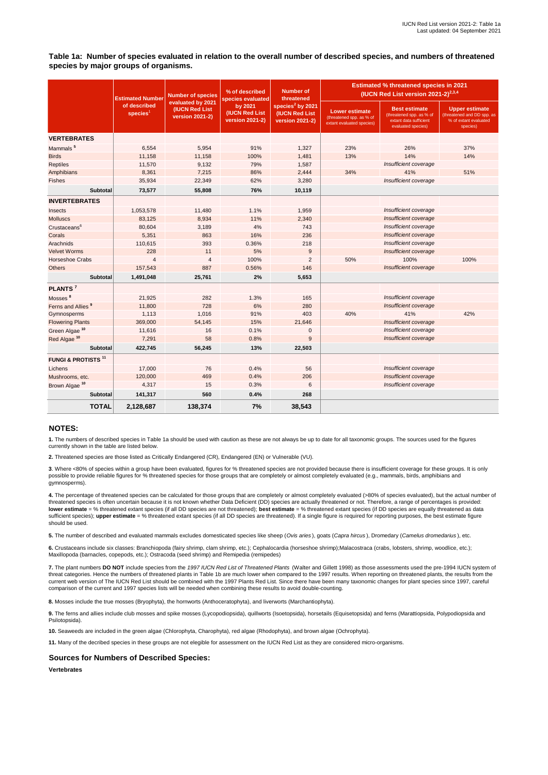**Table 1a: Number of species evaluated in relation to the overall number of described species, and numbers of threatened species by major groups of organisms.**

|                                | <b>Estimated Number</b><br>of described<br>species <sup>1</sup> | <b>Number of species</b><br>evaluated by 2021<br><b>(IUCN Red List)</b><br>version 2021-2) | % of described<br>species evaluated<br>by 2021<br><b>(IUCN Red List</b><br>version 2021-2) | <b>Number of</b><br>threatened<br>species <sup>2</sup> by 2021<br><b>(IUCN Red List</b><br>version 2021-2) | <b>Estimated % threatened species in 2021</b><br>(IUCN Red List version 2021-2) $^{2,3,4}$ |                                                                                                  |                                                                                   |
|--------------------------------|-----------------------------------------------------------------|--------------------------------------------------------------------------------------------|--------------------------------------------------------------------------------------------|------------------------------------------------------------------------------------------------------------|--------------------------------------------------------------------------------------------|--------------------------------------------------------------------------------------------------|-----------------------------------------------------------------------------------|
|                                |                                                                 |                                                                                            |                                                                                            |                                                                                                            | <b>Lower estimate</b><br>(threatened spp. as % of<br>extant evaluated species)             | <b>Best estimate</b><br>(threatened spp. as % of<br>extant data sufficient<br>evaluated species) | Upper estimate<br>(threatened and DD spp. as<br>% of extant evaluated<br>species) |
| <b>VERTEBRATES</b>             |                                                                 |                                                                                            |                                                                                            |                                                                                                            |                                                                                            |                                                                                                  |                                                                                   |
| Mammals <sup>5</sup>           | 6,554                                                           | 5,954                                                                                      | 91%                                                                                        | 1,327                                                                                                      | 23%                                                                                        | 26%                                                                                              | 37%                                                                               |
| <b>Birds</b>                   | 11,158                                                          | 11,158                                                                                     | 100%                                                                                       | 1,481                                                                                                      | 13%                                                                                        | 14%                                                                                              | 14%                                                                               |
| <b>Reptiles</b>                | 11,570                                                          | 9,132                                                                                      | 79%                                                                                        | 1,587                                                                                                      |                                                                                            | Insufficient coverage                                                                            |                                                                                   |
| Amphibians                     | 8,361                                                           | 7,215                                                                                      | 86%                                                                                        | 2,444                                                                                                      | 34%                                                                                        | 41%                                                                                              | 51%                                                                               |
| Fishes                         | 35,934                                                          | 22,349                                                                                     | 62%                                                                                        | 3,280                                                                                                      |                                                                                            | Insufficient coverage                                                                            |                                                                                   |
| <b>Subtotal</b>                | 73,577                                                          | 55,808                                                                                     | 76%                                                                                        | 10,119                                                                                                     |                                                                                            |                                                                                                  |                                                                                   |
| <b>INVERTEBRATES</b>           |                                                                 |                                                                                            |                                                                                            |                                                                                                            |                                                                                            |                                                                                                  |                                                                                   |
| Insects                        | 1,053,578                                                       | 11,480                                                                                     | 1.1%                                                                                       | 1,959                                                                                                      |                                                                                            | Insufficient coverage                                                                            |                                                                                   |
| <b>Molluscs</b>                | 83,125                                                          | 8,934                                                                                      | 11%                                                                                        | 2,340                                                                                                      |                                                                                            | Insufficient coverage                                                                            |                                                                                   |
| Crustaceans <sup>6</sup>       | 80,604                                                          | 3,189                                                                                      | 4%                                                                                         | 743                                                                                                        |                                                                                            | Insufficient coverage                                                                            |                                                                                   |
| Corals                         | 5,351                                                           | 863                                                                                        | 16%                                                                                        | 236                                                                                                        |                                                                                            | Insufficient coverage                                                                            |                                                                                   |
| Arachnids                      | 110,615                                                         | 393                                                                                        | 0.36%                                                                                      | 218                                                                                                        |                                                                                            | Insufficient coverage                                                                            |                                                                                   |
| <b>Velvet Worms</b>            | 228                                                             | 11                                                                                         | 5%                                                                                         | 9                                                                                                          |                                                                                            | Insufficient coverage                                                                            |                                                                                   |
| <b>Horseshoe Crabs</b>         | $\overline{4}$                                                  | $\overline{4}$                                                                             | 100%                                                                                       | $\overline{2}$                                                                                             | 50%                                                                                        | 100%                                                                                             | 100%                                                                              |
| <b>Others</b>                  | 157,543                                                         | 887                                                                                        | 0.56%                                                                                      | 146                                                                                                        |                                                                                            | Insufficient coverage                                                                            |                                                                                   |
| Subtotal                       | 1,491,048                                                       | 25,761                                                                                     | 2%                                                                                         | 5,653                                                                                                      |                                                                                            |                                                                                                  |                                                                                   |
| PLANTS <sup>7</sup>            |                                                                 |                                                                                            |                                                                                            |                                                                                                            |                                                                                            |                                                                                                  |                                                                                   |
| Mosses <sup>8</sup>            | 21,925                                                          | 282                                                                                        | 1.3%                                                                                       | 165                                                                                                        |                                                                                            | Insufficient coverage                                                                            |                                                                                   |
| Ferns and Allies <sup>9</sup>  | 11,800                                                          | 728                                                                                        | 6%                                                                                         | 280                                                                                                        |                                                                                            | Insufficient coverage                                                                            |                                                                                   |
| Gymnosperms                    | 1,113                                                           | 1,016                                                                                      | 91%                                                                                        | 403                                                                                                        | 40%                                                                                        | 41%                                                                                              | 42%                                                                               |
| <b>Flowering Plants</b>        | 369,000                                                         | 54,145                                                                                     | 15%                                                                                        | 21,646                                                                                                     |                                                                                            | Insufficient coverage                                                                            |                                                                                   |
| Green Algae <sup>10</sup>      | 11,616                                                          | 16                                                                                         | 0.1%                                                                                       | $\mathbf 0$                                                                                                |                                                                                            | Insufficient coverage                                                                            |                                                                                   |
| Red Algae <sup>10</sup>        | 7,291                                                           | 58                                                                                         | 0.8%                                                                                       | 9                                                                                                          |                                                                                            | Insufficient coverage                                                                            |                                                                                   |
| Subtotal                       | 422,745                                                         | 56,245                                                                                     | 13%                                                                                        | 22,503                                                                                                     |                                                                                            |                                                                                                  |                                                                                   |
| <b>FUNGI &amp; PROTISTS 11</b> |                                                                 |                                                                                            |                                                                                            |                                                                                                            |                                                                                            |                                                                                                  |                                                                                   |
| Lichens                        | 17,000                                                          | 76                                                                                         | 0.4%                                                                                       | 56                                                                                                         |                                                                                            | Insufficient coverage                                                                            |                                                                                   |
| Mushrooms, etc.                | 120,000                                                         | 469                                                                                        | 0.4%                                                                                       | 206                                                                                                        |                                                                                            | Insufficient coverage                                                                            |                                                                                   |
| Brown Algae <sup>10</sup>      | 4,317                                                           | 15                                                                                         | 0.3%                                                                                       | 6                                                                                                          |                                                                                            | Insufficient coverage                                                                            |                                                                                   |
| <b>Subtotal</b>                | 141,317                                                         | 560                                                                                        | 0.4%                                                                                       | 268                                                                                                        |                                                                                            |                                                                                                  |                                                                                   |
| <b>TOTAL</b>                   | 2,128,687                                                       | 138,374                                                                                    | 7%                                                                                         | 38,543                                                                                                     |                                                                                            |                                                                                                  |                                                                                   |

# **NOTES:**

**1.** The numbers of described species in Table 1a should be used with caution as these are not always be up to date for all taxonomic groups. The sources used for the figures currently shown in the table are listed below.

**2.** Threatened species are those listed as Critically Endangered (CR), Endangered (EN) or Vulnerable (VU).

**3**. Where <80% of species within a group have been evaluated, figures for % threatened species are not provided because there is insufficient coverage for these groups. It is only possible to provide reliable figures for % threatened species for those groups that are completely or almost completely evaluated (e.g., mammals, birds, amphibians and gymnosperms).

4. The percentage of threatened species can be calculated for those groups that are completely or almost completely evaluated (>80% of species evaluated), but the actual number of<br>threatened species is often uncertain beca **lower estimate** = % threatened extant species (if all DD species are not threatened); **best estimate** = % threatened extant species (if DD species are equally threatened as data sufficient species); **upper estimate** = % threatened extant species (if all DD species are threatened). If a single figure is required for reporting purposes, the best estimate figure should be used.

**5.** The number of described and evaluated mammals excludes domesticated species like sheep (*Ovis aries* ), goats (*Capra hircus* ), Dromedary (*Camelus dromedarius* ), etc.

**6.** Crustaceans include six classes: Branchiopoda (fairy shrimp, clam shrimp, etc.); Cephalocardia (horseshoe shrimp);Malacostraca (crabs, lobsters, shrimp, woodlice, etc.); Maxillopoda (barnacles, copepods, etc.); Ostracoda (seed shrimp) and Remipedia (remipedes)

**7.** The plant numbers **DO NOT** include species from the *1997 IUCN Red List of Threatened Plants* (Walter and Gillett 1998) as those assessments used the pre-1994 IUCN system of threat categories. Hence the numbers of threatened plants in Table 1b are much lower when compared to the 1997 results. When reporting on threatened plants, the results from the<br>current web version of The IUCN Red List sho comparison of the current and 1997 species lists will be needed when combining these results to avoid double-counting.

**8.** Mosses include the true mosses (Bryophyta), the hornworts (Anthoceratophyta), and liverworts (Marchantiophyta).

**9.** The ferns and allies include club mosses and spike mosses (Lycopodiopsida), quillworts (Isoetopsida), horsetails (Equisetopsida) and ferns (Marattiopsida, Polypodiopsida and Psilotopsida).

**10.** Seaweeds are included in the green algae (Chlorophyta, Charophyta), red algae (Rhodophyta), and brown algae (Ochrophyta).

**11.** Many of the decribed species in these groups are not elegible for assessment on the IUCN Red List as they are considered micro-organisms.

## **Sources for Numbers of Described Species:**

**Vertebrates**